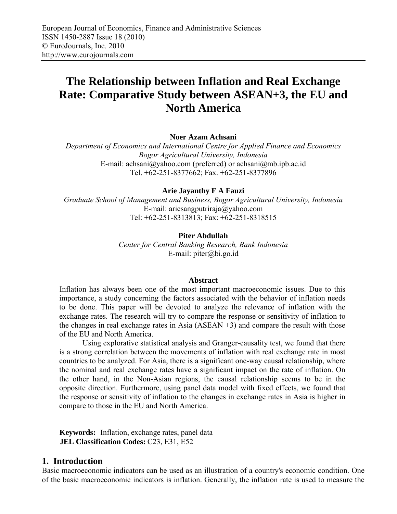# **The Relationship between Inflation and Real Exchange Rate: Comparative Study between ASEAN+3, the EU and North America**

#### **Noer Azam Achsani**

*Department of Economics and International Centre for Applied Finance and Economics Bogor Agricultural University, Indonesia* E-mail: achsani@yahoo.com (preferred) or achsani@mb.ipb.ac.id Tel. +62-251-8377662; Fax. +62-251-8377896

#### **Arie Jayanthy F A Fauzi**

*Graduate School of Management and Business, Bogor Agricultural University, Indonesia*  E-mail: ariesangputriraja@yahoo.com Tel: +62-251-8313813; Fax: +62-251-8318515

## **Piter Abdullah**

*Center for Central Banking Research, Bank Indonesia*  E-mail: piter@bi.go.id

#### **Abstract**

Inflation has always been one of the most important macroeconomic issues. Due to this importance, a study concerning the factors associated with the behavior of inflation needs to be done. This paper will be devoted to analyze the relevance of inflation with the exchange rates. The research will try to compare the response or sensitivity of inflation to the changes in real exchange rates in Asia (ASEAN +3) and compare the result with those of the EU and North America.

Using explorative statistical analysis and Granger-causality test, we found that there is a strong correlation between the movements of inflation with real exchange rate in most countries to be analyzed. For Asia, there is a significant one-way causal relationship, where the nominal and real exchange rates have a significant impact on the rate of inflation. On the other hand, in the Non-Asian regions, the causal relationship seems to be in the opposite direction. Furthermore, using panel data model with fixed effects, we found that the response or sensitivity of inflation to the changes in exchange rates in Asia is higher in compare to those in the EU and North America.

**Keywords:** Inflation, exchange rates, panel data **JEL Classification Codes:** C23, E31, E52

#### **1. Introduction**

Basic macroeconomic indicators can be used as an illustration of a country's economic condition. One of the basic macroeconomic indicators is inflation. Generally, the inflation rate is used to measure the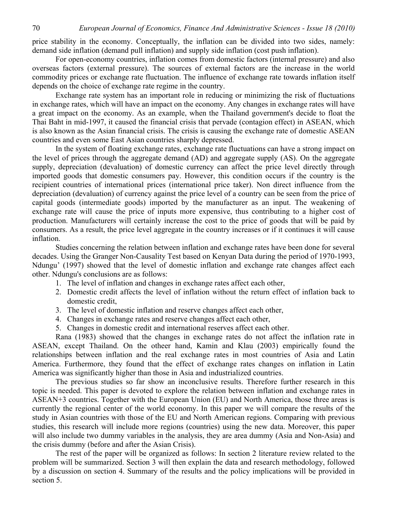price stability in the economy. Conceptually, the inflation can be divided into two sides, namely: demand side inflation (demand pull inflation) and supply side inflation (cost push inflation).

For open-economy countries, inflation comes from domestic factors (internal pressure) and also overseas factors (external pressure). The sources of external factors are the increase in the world commodity prices or exchange rate fluctuation. The influence of exchange rate towards inflation itself depends on the choice of exchange rate regime in the country.

Exchange rate system has an important role in reducing or minimizing the risk of fluctuations in exchange rates, which will have an impact on the economy. Any changes in exchange rates will have a great impact on the economy. As an example, when the Thailand government's decide to float the Thai Baht in mid-1997, it caused the financial crisis that pervade (contagion effect) in ASEAN, which is also known as the Asian financial crisis. The crisis is causing the exchange rate of domestic ASEAN countries and even some East Asian countries sharply depressed.

In the system of floating exchange rates, exchange rate fluctuations can have a strong impact on the level of prices through the aggregate demand (AD) and aggregate supply (AS). On the aggregate supply, depreciation (devaluation) of domestic currency can affect the price level directly through imported goods that domestic consumers pay. However, this condition occurs if the country is the recipient countries of international prices (international price taker). Non direct influence from the depreciation (devaluation) of currency against the price level of a country can be seen from the price of capital goods (intermediate goods) imported by the manufacturer as an input. The weakening of exchange rate will cause the price of inputs more expensive, thus contributing to a higher cost of production. Manufacturers will certainly increase the cost to the price of goods that will be paid by consumers. As a result, the price level aggregate in the country increases or if it continues it will cause inflation.

Studies concerning the relation between inflation and exchange rates have been done for several decades. Using the Granger Non-Causality Test based on Kenyan Data during the period of 1970-1993, Ndungu' (1997) showed that the level of domestic inflation and exchange rate changes affect each other. Ndungu's conclusions are as follows:

- 1. The level of inflation and changes in exchange rates affect each other,
- 2. Domestic credit affects the level of inflation without the return effect of inflation back to domestic credit,
- 3. The level of domestic inflation and reserve changes affect each other,
- 4. Changes in exchange rates and reserve changes affect each other,
- 5. Changes in domestic credit and international reserves affect each other.

Rana (1983) showed that the changes in exchange rates do not affect the inflation rate in ASEAN, except Thailand. On the otheer hand, Kamin and Klau (2003) empirically found the relationships between inflation and the real exchange rates in most countries of Asia and Latin America. Furthermore, they found that the effect of exchange rates changes on inflation in Latin America was significantly higher than those in Asia and industrialized countries.

The previous studies so far show an inconclusive results. Therefore further research in this topic is needed. This paper is devoted to explore the relation between inflation and exchange rates in ASEAN+3 countries. Together with the European Union (EU) and North America, those three areas is currently the regional center of the world economy. In this paper we will compare the results of the study in Asian countries with those of the EU and North American regions. Comparing with previous studies, this research will include more regions (countries) using the new data. Moreover, this paper will also include two dummy variables in the analysis, they are area dummy (Asia and Non-Asia) and the crisis dummy (before and after the Asian Crisis).

The rest of the paper will be organized as follows: In section 2 literature review related to the problem will be summarized. Section 3 will then explain the data and research methodology, followed by a discussion on section 4. Summary of the results and the policy implications will be provided in section 5.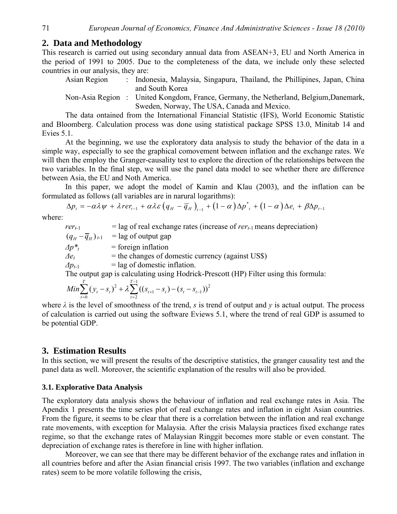## **2. Data and Methodology**

This research is carried out using secondary annual data from ASEAN+3, EU and North America in the period of 1991 to 2005. Due to the completeness of the data, we include only these selected countries in our analysis, they are:

Asian Region : Indonesia, Malaysia, Singapura, Thailand, the Phillipines, Japan, China and South Korea

Non-Asia Region : United Kongdom, France, Germany, the Netherland, Belgium,Danemark, Sweden, Norway, The USA, Canada and Mexico.

The data ontained from the International Financial Statistic (IFS), World Economic Statistic and Bloomberg. Calculation process was done using statistical package SPSS 13.0, Minitab 14 and Evies 5.1.

At the beginning, we use the exploratory data analysis to study the behavior of the data in a simple way, especially to see the graphical comovement between inflation and the exchange rates. We will then the employ the Granger-causality test to explore the direction of the relationships between the two variables. In the final step, we will use the panel data model to see whether there are difference between Asia, the EU and Noth America.

In this paper, we adopt the model of Kamin and Klau (2003), and the inflation can be formulated as follows (all variables are in narural logarithms):

$$
\Delta p_t = -\alpha \lambda \psi + \lambda r e r_{t-1} + \alpha \lambda \varepsilon \left( q_H - \overline{q}_H \right)_{t-1} + (1 - \alpha) \Delta p^*_{t} + (1 - \alpha) \Delta e_t + \beta \Delta p_{t-1}
$$

where:

 $r e_{t-1}$  = lag of real exchange rates (increase of  $r e_{t-1}$  means depreciation)  $(q_H - \overline{q}_H)_{t-1}$  = lag of output gap  $\Delta p^*$  = foreign inflation  $\Delta e_t$  = the changes of domestic currency (against US\$)

 $\Delta p_{t-1}$  = lag of domestic inflation.

The output gap is calculating using Hodrick-Prescott (HP) Filter using this formula:

$$
Min \sum_{t=0}^{T} (y_t - s_t)^2 + \lambda \sum_{t=2}^{T-1} ((s_{t+1} - s_t) - (s_t - s_{t-1}))^2
$$

where  $\lambda$  is the level of smoothness of the trend, *s* is trend of output and *y* is actual output. The process of calculation is carried out using the software Eviews 5.1, where the trend of real GDP is assumed to be potential GDP.

## **3. Estimation Results**

In this section, we will present the results of the descriptive statistics, the granger causality test and the panel data as well. Moreover, the scientific explanation of the resulrs will also be provided.

## **3.1. Explorative Data Analysis**

The exploratory data analysis shows the behaviour of inflation and real exchange rates in Asia. The Apendix 1 presents the time series plot of real exchange rates and inflation in eight Asian countries. From the figure, it seems to be clear that there is a correlation between the inflation and real exchange rate movements, with exception for Malaysia. After the crisis Malaysia practices fixed exchange rates regime, so that the exchange rates of Malaysian Ringgit becomes more stable or even constant. The depreciation of exchange rates is therefore in line with higher inflation.

Moreover, we can see that there may be different behavior of the exchange rates and inflation in all countries before and after the Asian financial crisis 1997. The two variables (inflation and exchange rates) seem to be more volatile following the crisis,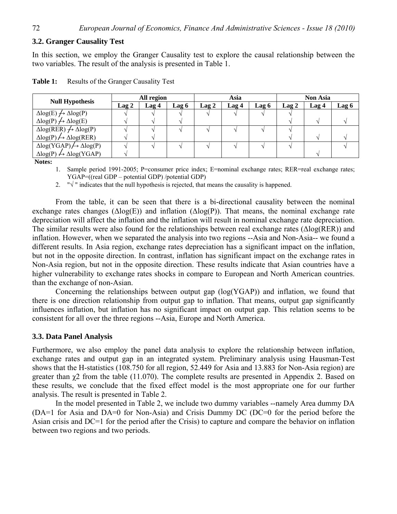#### **3.2. Granger Causality Test**

In this section, we employ the Granger Causality test to explore the causal relationship between the two variables. The result of the analysis is presented in Table 1.

|                                                      | All region |       | Asia  |              | <b>Non Asia</b> |       |       |       |       |
|------------------------------------------------------|------------|-------|-------|--------------|-----------------|-------|-------|-------|-------|
| <b>Null Hypothesis</b>                               | Lag 2      | Lag 4 | Lag 6 | <b>Lag 2</b> | Lag 4           | Lag 6 | Lag 2 | Lag 4 | Lag 6 |
| $\Delta$ log(E) $\rightarrow$ $\Delta$ log(P)        |            |       |       |              |                 |       |       |       |       |
| $\Delta log(P) \nrightarrow \Delta log(E)$           |            |       |       |              |                 |       |       |       |       |
| $\Delta$ log(RER) $\rightarrow$ $\Delta$ log(P)      |            |       |       |              |                 |       |       |       |       |
| $\Delta$ log(P) $\leftrightarrow$ $\Delta$ log(RER)  |            |       |       |              |                 |       |       |       |       |
| $\Delta$ log(YGAP) $\leftrightarrow$ $\Delta$ log(P) |            |       |       |              |                 |       |       |       |       |
| $\Delta$ log(P) $\leftrightarrow$ $\Delta$ log(YGAP) |            |       |       |              |                 |       |       |       |       |

| Table 1: | Results of the Granger Causality Test |  |  |  |
|----------|---------------------------------------|--|--|--|
|----------|---------------------------------------|--|--|--|

**Notes:** 

1. Sample period 1991-2005; P=consumer price index; E=nominal exchange rates; RER=real exchange rates; YGAP=((real GDP – potential GDP) /potential GDP)

2.  $\sqrt[n]{ }$  " indicates that the null hypothesis is rejected, that means the causality is happened.

From the table, it can be seen that there is a bi-directional causality between the nominal exchange rates changes  $(\Delta \text{log}(E))$  and inflation  $(\Delta \text{log}(P))$ . That means, the nominal exchange rate depreciation will affect the inflation and the inflation will result in nominal exchange rate depreciation. The similar results were also found for the relationships between real exchange rates (Δlog(RER)) and inflation. However, when we separated the analysis into two regions --Asia and Non-Asia-- we found a different results. In Asia region, exchange rates depreciation has a significant impact on the inflation, but not in the opposite direction. In contrast, inflation has significant impact on the exchange rates in Non-Asia region, but not in the opposite direction. These results indicate that Asian countries have a higher vulnerability to exchange rates shocks in compare to European and North American countries. than the exchange of non-Asian.

Concerning the relationships between output gap (log(YGAP)) and inflation, we found that there is one direction relationship from output gap to inflation. That means, output gap significantly influences inflation, but inflation has no significant impact on output gap. This relation seems to be consistent for all over the three regions --Asia, Europe and North America.

#### **3.3. Data Panel Analysis**

Furthermore, we also employ the panel data analysis to explore the relationship between inflation, exchange rates and output gap in an integrated system. Preliminary analysis using Hausman-Test shows that the H-statistics (108.750 for all region, 52.449 for Asia and 13.883 for Non-Asia region) are greater than  $\chi$ 2 from the table (11.070). The complete results are presented in Appendix 2. Based on these results, we conclude that the fixed effect model is the most appropriate one for our further analysis. The result is presented in Table 2.

In the model presented in Table 2, we include two dummy variables --namely Area dummy DA (DA=1 for Asia and DA=0 for Non-Asia) and Crisis Dummy DC (DC=0 for the period before the Asian crisis and DC=1 for the period after the Crisis) to capture and compare the behavior on inflation between two regions and two periods.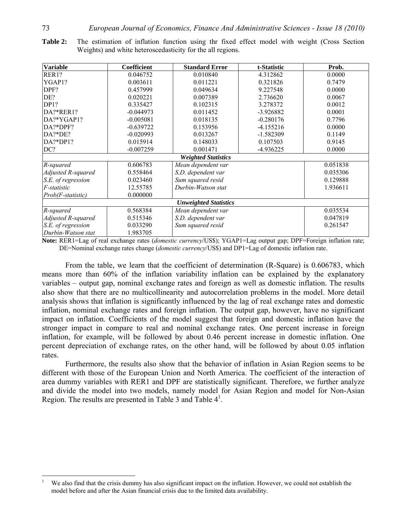| <b>Variable</b>            | Coefficient | <b>Standard Error</b> | t-Statistic | Prob.    |  |  |
|----------------------------|-------------|-----------------------|-------------|----------|--|--|
| RER1?                      | 0.046752    | 0.010840              | 4.312862    | 0.0000   |  |  |
| YGAP1?                     | 0.003611    | 0.011221              | 0.321826    | 0.7479   |  |  |
| DPF?                       | 0.457999    | 0.049634              | 9.227548    | 0.0000   |  |  |
| DE?                        | 0.020221    | 0.007389              | 2.736620    | 0.0067   |  |  |
| DP1?                       | 0.335427    | 0.102315              | 3.278372    | 0.0012   |  |  |
| DA?*RER1?                  | $-0.044973$ | 0.011452              | $-3.926882$ | 0.0001   |  |  |
| DA?*YGAP1?                 | $-0.005081$ | 0.018135              | $-0.280176$ | 0.7796   |  |  |
| DA?*DPF?                   | $-0.639722$ | 0.153956              | $-4.155216$ | 0.0000   |  |  |
| DA?*DE?                    | $-0.020993$ | 0.013267              | $-1.582309$ | 0.1149   |  |  |
| $DA$ ?* $DP1$ ?            | 0.015914    | 0.148033              | 0.107503    | 0.9145   |  |  |
| DC?                        | $-0.007259$ | 0.001471              | $-4.936225$ | 0.0000   |  |  |
| <b>Weighted Statistics</b> |             |                       |             |          |  |  |
| R-squared                  | 0.606783    | Mean dependent var    |             | 0.051838 |  |  |
| Adjusted R-squared         | 0.558464    | S.D. dependent var    |             |          |  |  |
| S.E. of regression         | 0.023460    | Sum squared resid     |             |          |  |  |
| F-statistic                | 12.55785    | Durbin-Watson stat    |             |          |  |  |
| Prob(F-statistic)          | 0.000000    |                       |             |          |  |  |
|                            |             |                       |             |          |  |  |
| R-squared                  | 0.568384    | Mean dependent var    |             | 0.035534 |  |  |
| Adjusted R-squared         | 0.515346    | S.D. dependent var    |             |          |  |  |
| S.E. of regression         | 0.033290    | Sum squared resid     |             |          |  |  |
| Durbin-Watson stat         | 1.983705    |                       |             |          |  |  |

**Table 2:** The estimation of inflation function using thr fixed effect model with weight (Cross Section Weights) and white heteroscedasticity for the all regions.

**Note:** RER1=Lag of real exchange rates (*domestic currency*/US\$); YGAP1=Lag output gap; DPF=Foreign inflation rate; DE=Nominal exchange rates change (*domestic currency*/US\$) and DP1=Lag of domestic inflation rate.

From the table, we learn that the coefficient of determination (R-Square) is 0.606783, which means more than 60% of the inflation variability inflation can be explained by the explanatory variables – output gap, nominal exchange rates and foreign as well as domestic inflation. The results also show that there are no multicollinearity and autocorrelation problems in the model. More detail analysis shows that inflation is significantly influenced by the lag of real exchange rates and domestic inflation, nominal exchange rates and foreign inflation. The output gap, however, have no significant impact on inflation. Coefficients of the model suggest that foreign and domestic inflation have the stronger impact in compare to real and nominal exchange rates. One percent increase in foreign inflation, for example, will be followed by about 0.46 percent increase in domestic inflation. One percent depreciation of exchange rates, on the other hand, will be followed by about 0.05 inflation rates.

Furthermore, the results also show that the behavior of inflation in Asian Region seems to be different with those of the European Union and North America. The coefficient of the interaction of area dummy variables with RER1 and DPF are statistically significant. Therefore, we further analyze and divide the model into two models, namely model for Asian Region and model for Non-Asian Region. The results are presented in Table 3 and Table  $4<sup>1</sup>$ .

 $\overline{a}$ 

<sup>1</sup> We also find that the crisis dummy has also significant impact on the inflation. However, we could not establish the model before and after the Asian financial crisis due to the limited data availability.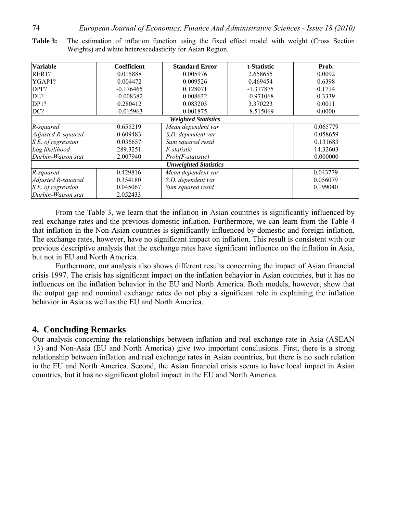| <b>Variable</b>              | <b>Coefficient</b>         | <b>Standard Error</b> | t-Statistic | Prob.    |  |  |  |
|------------------------------|----------------------------|-----------------------|-------------|----------|--|--|--|
| RER1?                        | 0.015888                   | 0.005976              | 2.658655    |          |  |  |  |
| YGAP1?                       | 0.004472                   | 0.009526              | 0.469454    | 0.6398   |  |  |  |
| DPF?                         | $-0.176465$                | 0.128071              | $-1.377875$ | 0.1714   |  |  |  |
| DE?                          | $-0.008382$                | 0.008632              | $-0.971068$ | 0.3339   |  |  |  |
| DP1?                         | 0.280412                   | 0.083203              | 3.370223    | 0.0011   |  |  |  |
| DC?                          | $-0.015963$                | 0.001875              | $-8.515069$ | 0.0000   |  |  |  |
|                              | <b>Weighted Statistics</b> |                       |             |          |  |  |  |
| R-squared                    | 0.655219                   | Mean dependent var    |             |          |  |  |  |
| Adjusted R-squared           | 0.609483                   | S.D. dependent var    |             |          |  |  |  |
| S.E. of regression           | 0.036657                   | Sum squared resid     | 0.131683    |          |  |  |  |
| Log likelihood               | 289.3251                   | <i>F</i> -statistic   | 14.32603    |          |  |  |  |
| Durbin-Watson stat           | 2.007940                   | $Prob(F-statistic)$   |             |          |  |  |  |
| <b>Unweighted Statistics</b> |                            |                       |             |          |  |  |  |
| R-squared                    | 0.429816                   | Mean dependent var    |             | 0.043779 |  |  |  |
| Adjusted R-squared           | 0.354180                   | S.D. dependent var    |             | 0.056079 |  |  |  |
| S.E. of regression           | 0.045067                   | Sum squared resid     | 0.199040    |          |  |  |  |
| Durbin-Watson stat           | 2.052433                   |                       |             |          |  |  |  |

**Table 3:** The estimation of inflation function using the fixed effect model with weight (Cross Section Weights) and white heteroscedasticity for Asian Region.

From the Table 3, we learn that the inflation in Asian countries is significantly influenced by real exchange rates and the previous domestic inflation. Furthermore, we can learn from the Table 4 that inflation in the Non-Asian countries is significantly influenced by domestic and foreign inflation. The exchange rates, however, have no significant impact on inflation. This result is consistent with our previous descriptive analysis that the exchange rates have significant influence on the inflation in Asia, but not in EU and North America.

Furthermore, our analysis also shows different results concerning the impact of Asian financial crisis 1997. The crisis has significant impact on the inflation behavior in Asian countries, but it has no influences on the inflation behavior in the EU and North America. Both models, however, show that the output gap and nominal exchange rates do not play a significant role in explaining the inflation behavior in Asia as well as the EU and North America.

### **4. Concluding Remarks**

Our analysis concerning the relationships between inflation and real exchange rate in Asia (ASEAN +3) and Non-Asia (EU and North America) give two important conclusions. First, there is a strong relationship between inflation and real exchange rates in Asian countries, but there is no such relation in the EU and North America. Second, the Asian financial crisis seems to have local impact in Asian countries, but it has no significant global impact in the EU and North America.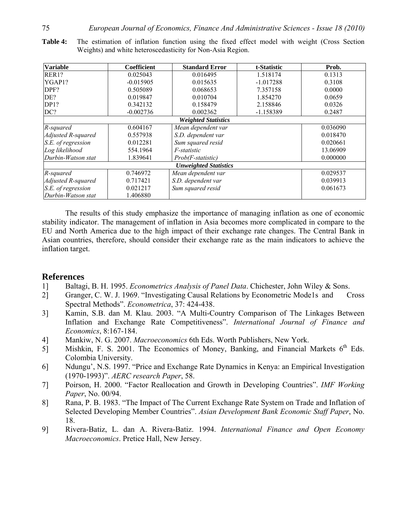| <b>Variable</b>              | Coefficient                | <b>Standard Error</b> | t-Statistic | Prob.    |  |  |  |  |
|------------------------------|----------------------------|-----------------------|-------------|----------|--|--|--|--|
| RER1?                        | 0.025043                   | 0.016495              | 1.518174    | 0.1313   |  |  |  |  |
| YGAP1?                       | $-0.015905$                | 0.015635              | $-1.017288$ | 0.3108   |  |  |  |  |
| DPF?                         | 0.505089                   | 0.068653              | 7.357158    | 0.0000   |  |  |  |  |
| DE?                          | 0.019847                   | 0.010704              | 1.854270    | 0.0659   |  |  |  |  |
| DP1?                         | 0.342132                   | 0.158479              | 2.158846    | 0.0326   |  |  |  |  |
| DC?                          | $-0.002736$                | 0.002362              | $-1.158389$ | 0.2487   |  |  |  |  |
|                              | <b>Weighted Statistics</b> |                       |             |          |  |  |  |  |
| R-squared                    | 0.604167                   | Mean dependent var    |             |          |  |  |  |  |
| Adjusted R-squared           | 0.557938                   | S.D. dependent var    |             |          |  |  |  |  |
| S.E. of regression           | 0.012281                   | Sum squared resid     |             |          |  |  |  |  |
| Log likelihood               | 554.1964                   | <i>F</i> -statistic   | 13.06909    |          |  |  |  |  |
| Durbin-Watson stat           | 1.839641                   | Prob(F-statistic)     |             |          |  |  |  |  |
| <b>Unweighted Statistics</b> |                            |                       |             |          |  |  |  |  |
| R-squared                    | 0.746972                   | Mean dependent var    |             | 0.029537 |  |  |  |  |
| Adjusted R-squared           | 0.717421                   | S.D. dependent var    | 0.039913    |          |  |  |  |  |
| S.E. of regression           | 0.021217                   | Sum squared resid     | 0.061673    |          |  |  |  |  |
| Durbin-Watson stat           | 1.406880                   |                       |             |          |  |  |  |  |

**Table 4:** The estimation of inflation function using the fixed effect model with weight (Cross Section Weights) and white heteroscedasticity for Non-Asia Region.

The results of this study emphasize the importance of managing inflation as one of economic stability indicator. The management of inflation in Asia becomes more complicated in compare to the EU and North America due to the high impact of their exchange rate changes. The Central Bank in Asian countries, therefore, should consider their exchange rate as the main indicators to achieve the inflation target.

## **References**

- 1] Baltagi, B. H. 1995. *Econometrics Analysis of Panel Data*. Chichester, John Wiley & Sons.
- 2] Granger, C. W. J. 1969. "Investigating Causal Relations by Econometric Mode1s and Cross Spectral Methods". *Econometrica*, 37: 424-438.
- 3] Kamin, S.B. dan M. Klau. 2003. "A Multi-Country Comparison of The Linkages Between Inflation and Exchange Rate Competitiveness". *International Journal of Finance and Economics*, 8:167-184.
- 4] Mankiw, N. G. 2007. *Macroeconomics* 6th Eds. Worth Publishers, New York.
- 5] Mishkin, F. S. 2001. The Economics of Money, Banking, and Financial Markets  $6<sup>th</sup>$  Eds. Colombia University.
- 6] Ndungu', N.S. 1997. "Price and Exchange Rate Dynamics in Kenya: an Empirical Investigation (1970-1993)". *AERC research Paper*, 58.
- 7] Poirson, H. 2000. "Factor Reallocation and Growth in Developing Countries". *IMF Working Paper*, No. 00/94.
- 8] Rana, P. B. 1983. "The Impact of The Current Exchange Rate System on Trade and Inflation of Selected Developing Member Countries". *Asian Development Bank Economic Staff Paper*, No. 18.
- 9] Rivera-Batiz, L. dan A. Rivera-Batiz. 1994. *International Finance and Open Economy Macroeconomics*. Pretice Hall, New Jersey.